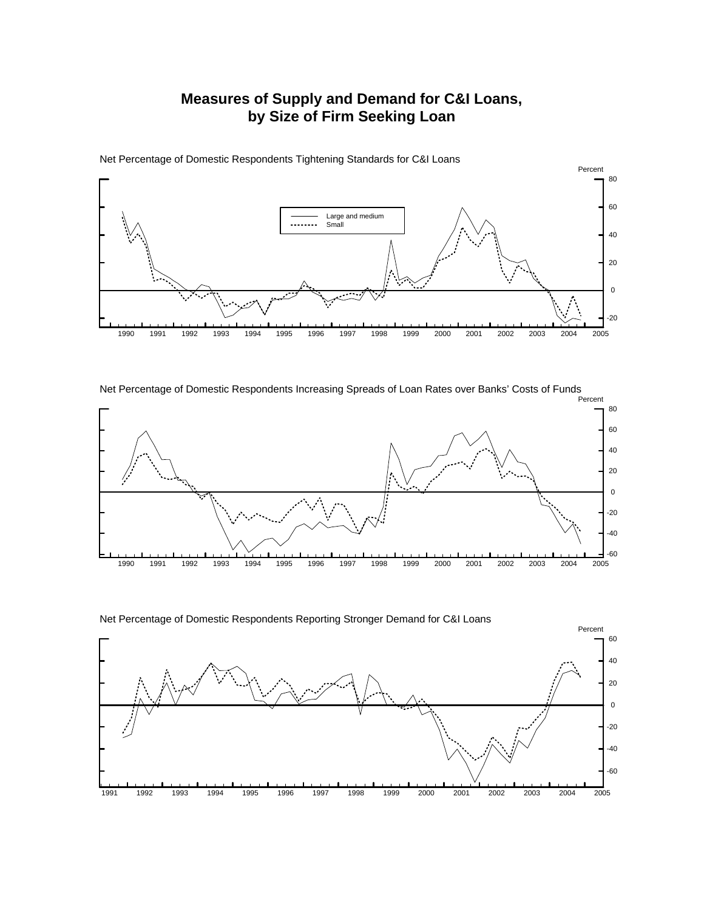## **Measures of Supply and Demand for C&I Loans, by Size of Firm Seeking Loan**



Net Percentage of Domestic Respondents Tightening Standards for C&I Loans

Net Percentage of Domestic Respondents Increasing Spreads of Loan Rates over Banks' Costs of Funds



Net Percentage of Domestic Respondents Reporting Stronger Demand for C&I Loans